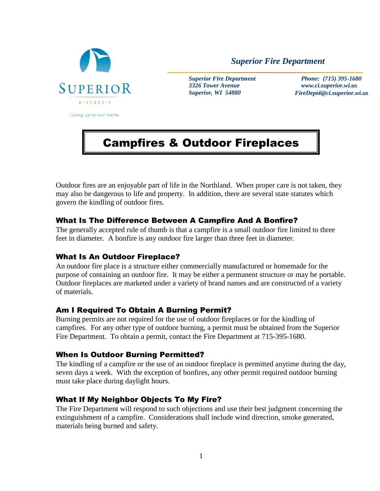

*Superior Fire Department*

*Superior Fire Department 3326 Tower Avenue Superior, WI 54880*

 *Phone: (715) 395-1680 www.ci.superior.wi.us FireDept4@ci.superior.wi.us*

# Campfires & Outdoor Fireplaces

Outdoor fires are an enjoyable part of life in the Northland. When proper care is not taken, they may also be dangerous to life and property. In addition, there are several state statutes which govern the kindling of outdoor fires.

### What Is The Difference Between A Campfire And A Bonfire?

The generally accepted rule of thumb is that a campfire is a small outdoor fire limited to three feet in diameter. A bonfire is any outdoor fire larger than three feet in diameter.

#### What Is An Outdoor Fireplace?

An outdoor fire place is a structure either commercially manufactured or homemade for the purpose of containing an outdoor fire. It may be either a permanent structure or may be portable. Outdoor fireplaces are marketed under a variety of brand names and are constructed of a variety of materials.

#### Am I Required To Obtain A Burning Permit?

Burning permits are not required for the use of outdoor fireplaces or for the kindling of campfires. For any other type of outdoor burning, a permit must be obtained from the Superior Fire Department. To obtain a permit, contact the Fire Department at 715-395-1680.

#### When Is Outdoor Burning Permitted?

The kindling of a campfire or the use of an outdoor fireplace is permitted anytime during the day, seven days a week. With the exception of bonfires, any other permit required outdoor burning must take place during daylight hours.

# What If My Neighbor Objects To My Fire?

The Fire Department will respond to such objections and use their best judgment concerning the extinguishment of a campfire. Considerations shall include wind direction, smoke generated, materials being burned and safety.